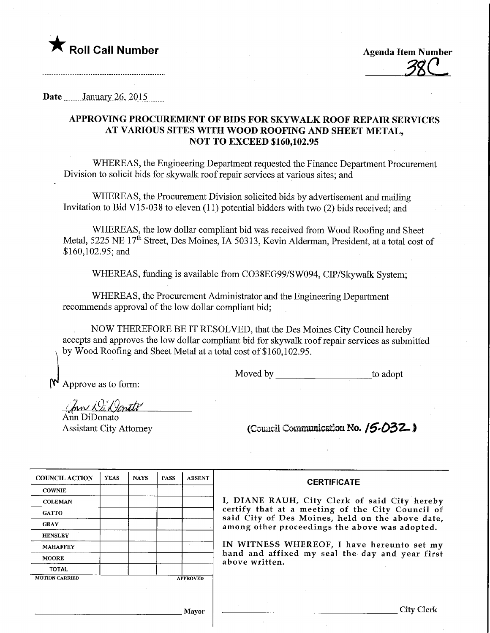

<u>38C</u>

**Date** January 26, 2015

## APPROVING PROCUREMENT OF BIDS FOR SKYWALK ROOF REPAIR SERVICES AT VARIOUS SITES WITH WOOD ROOFING AND SHEET METAL, NOT TO EXCEED \$160,102.95

WHEREAS, the Engineering Department requested the Finance Department Procurement Division to solicit bids for skywalk roof repair services at various sites; and

WHEREAS, the Procurement Division solicited bids by advertisement and mailing Invitation to Bid V15-038 to eleven (11) potential bidders with two (2) bids received; and

WHEREAS, the low dollar compliant bid was received from Wood Roofing and Sheet Metal, 5225 NE 17<sup>th</sup> Street, Des Moines, IA 50313, Kevin Alderman, President, at a total cost of \$160,102.95; and

WHEREAS, funding is available from C038EG99/SW094, CIP/Skywalk System;

WHEREAS, the Procurement Administrator and the Engineering Department recommends approval of the low dollar compliant bid;

NOW THEREFORE BE IT RESOLVED, that the Des Moines City Council hereby accepts and approves the low dollar compliant bid for skywalk roof repair services as submitted by Wood Roofing and Sheet Metal at a total cost of \$160,102.95.

Moved by to adopt

Jun Di Donate

Approve as to form:

Ann DiDonato Assistant City Attorney

(Council Communication No. /5.032)

| <b>COUNCIL ACTION</b> | <b>YEAS</b> | <b>NAYS</b> | <b>PASS</b> | <b>ABSENT</b>   | <b>CERTIFICATE</b>                                                                                                                               |  |  |
|-----------------------|-------------|-------------|-------------|-----------------|--------------------------------------------------------------------------------------------------------------------------------------------------|--|--|
| <b>COWNIE</b>         |             |             |             |                 |                                                                                                                                                  |  |  |
| <b>COLEMAN</b>        |             |             |             |                 | I, DIANE RAUH, City Clerk of said City hereby                                                                                                    |  |  |
| <b>GATTO</b>          |             |             |             |                 | certify that at a meeting of the City Council of                                                                                                 |  |  |
| <b>GRAY</b>           |             |             |             |                 | said City of Des Moines, held on the above date,<br>among other proceedings the above was adopted.<br>IN WITNESS WHEREOF, I have hereunto set my |  |  |
| <b>HENSLEY</b>        |             |             |             |                 |                                                                                                                                                  |  |  |
| <b>MAHAFFEY</b>       |             |             |             |                 |                                                                                                                                                  |  |  |
| <b>MOORE</b>          |             |             |             |                 | hand and affixed my seal the day and year first<br>above written.                                                                                |  |  |
| <b>TOTAL</b>          |             |             |             |                 |                                                                                                                                                  |  |  |
| <b>MOTION CARRIED</b> |             |             |             | <b>APPROVED</b> |                                                                                                                                                  |  |  |
|                       |             |             |             |                 |                                                                                                                                                  |  |  |
|                       |             |             |             |                 |                                                                                                                                                  |  |  |
|                       |             |             |             | Mavor           | City Clerk                                                                                                                                       |  |  |